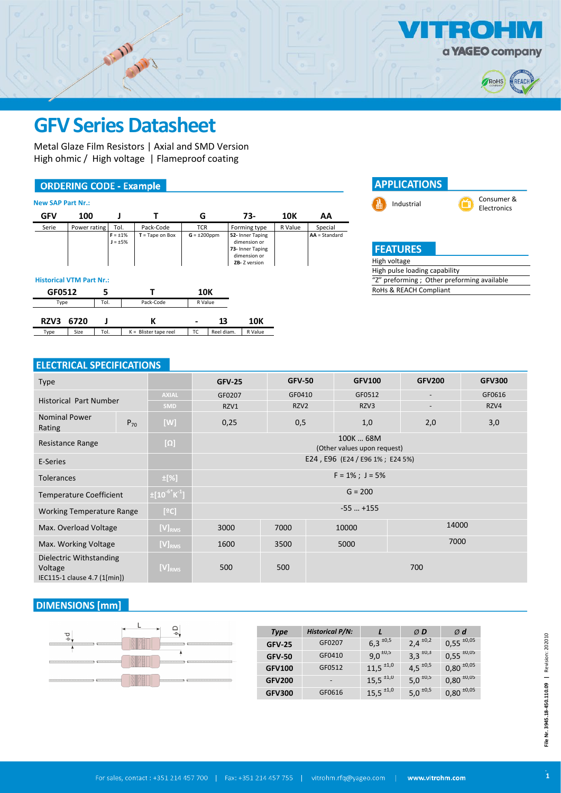

 $\bullet$ 



# **GFV Series Datasheet**

Metal Glaze Film Resistors | Axial and SMD Version High ohmic / High voltage | Flameproof coating

### **ORDERING CODE - Example**

| <b>New SAP Part Nr.:</b>        |              |                       |                                                |                                 |            |                                                                                                      |            |                            |
|---------------------------------|--------------|-----------------------|------------------------------------------------|---------------------------------|------------|------------------------------------------------------------------------------------------------------|------------|----------------------------|
| <b>GFV</b>                      | 100          |                       |                                                | G                               |            | 73-                                                                                                  | <b>10K</b> | AA                         |
| Serie                           | Power rating | Tol.<br>$F = \pm 1\%$ | Pack-Code<br>$T = Tape on Box$<br>$J = \pm 5%$ | <b>TCR</b><br>$G = \pm 200$ ppm |            | Forming type<br>52- Inner Taping<br>dimension or<br>73- Inner Taping<br>dimension or<br>ZB-Z version | R Value    | Special<br>$AA = Standard$ |
| <b>Historical VTM Part Nr.:</b> |              |                       |                                                |                                 |            |                                                                                                      |            |                            |
| GF0512                          |              | 5                     |                                                | 10K                             |            |                                                                                                      |            |                            |
| Type                            |              | Tol.                  | Pack-Code                                      | R Value                         |            |                                                                                                      |            |                            |
| RZV3                            | 6720         |                       | к                                              |                                 | 13         | 10K                                                                                                  |            |                            |
| Type                            | Size         | Tol.                  | $K =$ Blister tape reel                        | TC                              | Reel diam. | R Value                                                                                              |            |                            |



## **ELECTRICAL SPECIFICATIONS**

| <b>Type</b>                                                                              |          |                                  | <b>GFV-25</b>                            | <b>GFV-50</b> |                    | <b>GFV100</b> | <b>GFV200</b>            | <b>GFV300</b> |  |  |
|------------------------------------------------------------------------------------------|----------|----------------------------------|------------------------------------------|---------------|--------------------|---------------|--------------------------|---------------|--|--|
| <b>Historical Part Number</b>                                                            |          | <b>AXIAL</b>                     | GF0207                                   | GF0410        |                    | GF0512        | $\overline{\phantom{a}}$ | GF0616        |  |  |
|                                                                                          |          | <b>SMD</b>                       | RZV1                                     | RZV2          |                    | RZV3          | $\overline{\phantom{a}}$ | RZV4          |  |  |
| <b>Nominal Power</b><br>Rating                                                           | $P_{70}$ | [W]<br>0,5<br>0,25               |                                          | 1,0           | 2,0                | 3,0           |                          |               |  |  |
| Resistance Range                                                                         |          | $[\Omega]$                       | 100K  68M<br>(Other values upon request) |               |                    |               |                          |               |  |  |
| E-Series                                                                                 |          |                                  | E24, E96 (E24/E96 1%; E24 5%)            |               |                    |               |                          |               |  |  |
| <b>Tolerances</b>                                                                        |          | $\pm$ [%]                        |                                          |               | $F = 1\%$ ; J = 5% |               |                          |               |  |  |
| <b>Temperature Coefficient</b>                                                           |          | $\pm [10^{-6}$ K <sup>-1</sup> ] |                                          |               |                    | $G = 200$     |                          |               |  |  |
| <b>Working Temperature Range</b>                                                         |          | [°C]                             |                                          |               |                    | $-55$ $+155$  |                          |               |  |  |
| Max. Overload Voltage                                                                    |          | $[V]_{RMS}$                      | 3000                                     | 7000          |                    | 10000         | 14000                    |               |  |  |
| $[V]_{RMS}$<br>Max. Working Voltage                                                      |          |                                  | 1600                                     | 3500          |                    | 5000          | 7000                     |               |  |  |
| Dielectric Withstanding<br>[V] <sub>RMS</sub><br>Voltage<br>IEC115-1 clause 4.7 (1[min]) |          |                                  | 500<br>500<br>700                        |               |                    |               |                          |               |  |  |

# **DIMENSIONS** [mm]



| <b>Type</b>   | <b>Historical P/N:</b> |                  | ØD               | Ød                   |
|---------------|------------------------|------------------|------------------|----------------------|
| <b>GFV-25</b> | GF0207                 | $6,3 \pm 0.5$    | $2,4 \pm 0.2$    | $0,55 \pm 0.05$      |
| <b>GFV-50</b> | GF0410                 | $9,0^{\pm0,5}$   | $3,3 \pm 0.3$    | $0,55 \pm 0.05$      |
| <b>GFV100</b> | GF0512                 | $11,5$ $\pm 1,0$ | $4,5 \pm 0.5$    | $0,80$ $^{\pm 0,05}$ |
| <b>GFV200</b> |                        | $15,5$ $\pm 1,0$ | 5,0 $^{\pm 0.5}$ | $0,80$ $^{\pm 0,05}$ |
| <b>GFV300</b> | GF0616                 | $15,5$ $\pm 1,0$ | 5,0 $^{\pm 0.5}$ | $0,80$ $^{\pm 0,05}$ |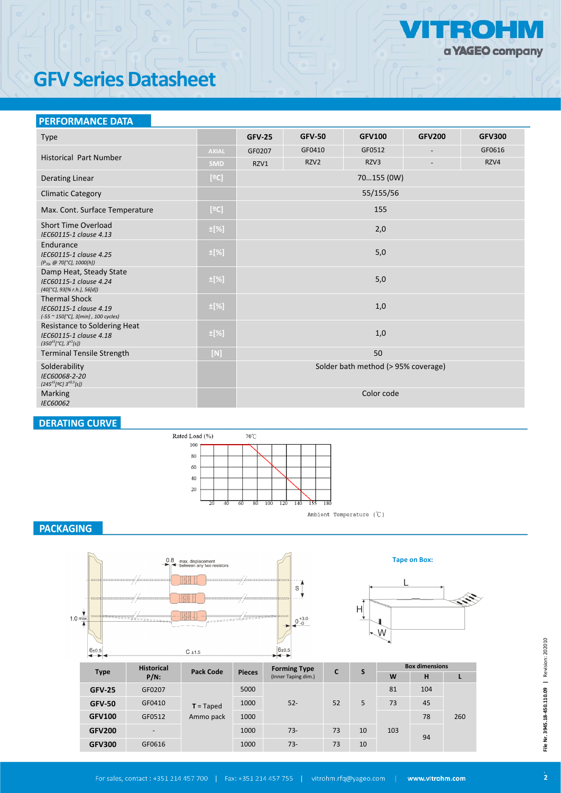

# **GFV Series Datasheet**

### **PERFORMANCE DATA**

| <b>Type</b>                                                                                         |              | <b>GFV-25</b> | <b>GFV-50</b> | <b>GFV100</b>                       | <b>GFV200</b>            | <b>GFV300</b> |  |
|-----------------------------------------------------------------------------------------------------|--------------|---------------|---------------|-------------------------------------|--------------------------|---------------|--|
|                                                                                                     | <b>AXIAL</b> | GF0207        | GF0410        | GF0512                              |                          | GF0616        |  |
| <b>Historical Part Number</b>                                                                       | <b>SMD</b>   | RZV1          | RZV2          | RZV3                                | $\overline{\phantom{a}}$ | RZV4          |  |
| <b>Derating Linear</b>                                                                              | [°C]         | 70155 (0W)    |               |                                     |                          |               |  |
| <b>Climatic Category</b>                                                                            |              |               |               | 55/155/56                           |                          |               |  |
| Max. Cont. Surface Temperature                                                                      | $[°C]$       |               |               | 155                                 |                          |               |  |
| <b>Short Time Overload</b><br>IEC60115-1 clause 4.13                                                | $\pm$ [%]    |               |               | 2,0                                 |                          |               |  |
| Endurance<br>IEC60115-1 clause 4.25<br>$(P_{70}, @ 70[°C], 1000[h])$                                | $\pm$ [%]    | $5,0$         |               |                                     |                          |               |  |
| Damp Heat, Steady State<br>IEC60115-1 clause 4.24<br>$(40[^{\circ}C], 93[% r.h.], 56[d])$           | $\pm$ [%]    |               |               | $5,0$                               |                          |               |  |
| <b>Thermal Shock</b><br>IEC60115-1 clause 4.19<br>(-55 ~ 150[°C], 3[min], 100 cycles)               | $\pm$ [%]    |               |               | 1,0                                 |                          |               |  |
| Resistance to Soldering Heat<br>IEC60115-1 clause 4.18<br>$(350^{\pm 5} [^{\circ}C], 3^{\pm 1}[s])$ | $\pm$ [%]    |               |               | 1,0                                 |                          |               |  |
| <b>Terminal Tensile Strength</b>                                                                    | $[N]$        |               |               | 50                                  |                          |               |  |
| Solderability<br>IEC60068-2-20<br>$(245^{\pm 5}$ [2C] $3^{\pm 0.5}$ [s])                            |              |               |               | Solder bath method (> 95% coverage) |                          |               |  |
| Marking<br>IEC60062                                                                                 |              |               |               | Color code                          |                          |               |  |

## **DERATING CURVE**



 $\texttt{Ambient Temperature} \ (\mathcal{C})$ 

## **PACKAGING**





**Tape on Box:**

| $\sim$ $\sim$ |                          |                  |               | $ -$                |    |    |                       |     |     |  |
|---------------|--------------------------|------------------|---------------|---------------------|----|----|-----------------------|-----|-----|--|
|               | <b>Historical</b>        | <b>Pack Code</b> |               | <b>Forming Type</b> | C  | S  | <b>Box dimensions</b> |     |     |  |
| <b>Type</b>   | $P/N$ :                  |                  | <b>Pieces</b> | (Inner Taping dim.) |    |    | W                     | н   |     |  |
| <b>GFV-25</b> | GF0207                   |                  | 5000          |                     |    |    | 81                    | 104 |     |  |
| <b>GFV-50</b> | GF0410                   | $T = Taped$      | 1000          | $52 -$              | 52 | 5  | 73                    | 45  |     |  |
| <b>GFV100</b> | GF0512                   | Ammo pack        | 1000          |                     |    |    |                       | 78  | 260 |  |
| <b>GFV200</b> | $\overline{\phantom{0}}$ |                  | 1000          | $73-$               | 73 | 10 | 103                   | 94  |     |  |
| <b>GFV300</b> | GF0616                   |                  | 1000          | $73-$               | 73 | 10 |                       |     |     |  |